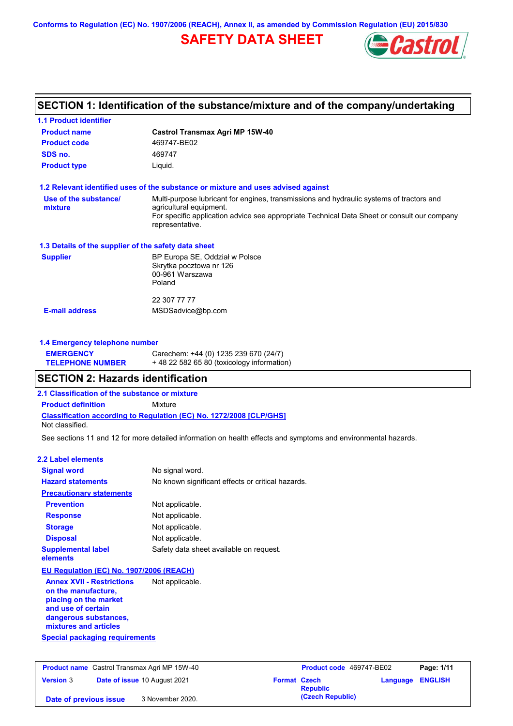**Conforms to Regulation (EC) No. 1907/2006 (REACH), Annex II, as amended by Commission Regulation (EU) 2015/830**

# **SAFETY DATA SHEET**



# **SECTION 1: Identification of the substance/mixture and of the company/undertaking**

| <b>1.1 Product identifier</b>                                                                          |                                                                                                                                                                                                                                       |
|--------------------------------------------------------------------------------------------------------|---------------------------------------------------------------------------------------------------------------------------------------------------------------------------------------------------------------------------------------|
| <b>Product name</b>                                                                                    | <b>Castrol Transmax Agri MP 15W-40</b>                                                                                                                                                                                                |
| <b>Product code</b>                                                                                    | 469747-BE02                                                                                                                                                                                                                           |
| SDS no.                                                                                                | 469747                                                                                                                                                                                                                                |
| <b>Product type</b>                                                                                    | Liquid.                                                                                                                                                                                                                               |
|                                                                                                        | 1.2 Relevant identified uses of the substance or mixture and uses advised against                                                                                                                                                     |
| Use of the substance/<br>mixture                                                                       | Multi-purpose lubricant for engines, transmissions and hydraulic systems of tractors and<br>agricultural equipment.<br>For specific application advice see appropriate Technical Data Sheet or consult our company<br>representative. |
| 1.3 Details of the supplier of the safety data sheet                                                   |                                                                                                                                                                                                                                       |
| <b>Supplier</b>                                                                                        | BP Europa SE, Oddział w Polsce<br>Skrytka pocztowa nr 126<br>00-961 Warszawa<br>Poland                                                                                                                                                |
|                                                                                                        | 22 307 77 77                                                                                                                                                                                                                          |
| <b>E-mail address</b>                                                                                  | MSDSadvice@bp.com                                                                                                                                                                                                                     |
| 1.4 Emergency telephone number                                                                         |                                                                                                                                                                                                                                       |
| <b>EMERGENCY</b>                                                                                       | Carechem: +44 (0) 1235 239 670 (24/7)                                                                                                                                                                                                 |
| <b>TELEPHONE NUMBER</b>                                                                                | + 48 22 582 65 80 (toxicology information)                                                                                                                                                                                            |
| <b>SECTION 2: Hazards identification</b>                                                               |                                                                                                                                                                                                                                       |
| 2.1 Classification of the substance or mixture                                                         |                                                                                                                                                                                                                                       |
| <b>Product definition</b>                                                                              | <b>Mixture</b>                                                                                                                                                                                                                        |
| Not classified.                                                                                        | <b>Classification according to Regulation (EC) No. 1272/2008 [CLP/GHS]</b>                                                                                                                                                            |
|                                                                                                        | See sections 11 and 12 for more detailed information on health effects and symptoms and environmental hazards.                                                                                                                        |
| <b>2.2 Label elements</b>                                                                              |                                                                                                                                                                                                                                       |
| <b>Signal word</b>                                                                                     | No signal word.                                                                                                                                                                                                                       |
| <b>Hazard statements</b>                                                                               | No known significant effects or critical hazards.                                                                                                                                                                                     |
| <b>Precautionary statements</b>                                                                        |                                                                                                                                                                                                                                       |
| <b>Prevention</b>                                                                                      | Not applicable.                                                                                                                                                                                                                       |
| <b>Response</b>                                                                                        | Not applicable.                                                                                                                                                                                                                       |
| <b>Storage</b>                                                                                         | Not applicable.                                                                                                                                                                                                                       |
| <b>Disposal</b>                                                                                        | Not applicable.                                                                                                                                                                                                                       |
| <b>Supplemental label</b><br>elements                                                                  | Safety data sheet available on request.                                                                                                                                                                                               |
| EU Regulation (EC) No. 1907/2006 (REACH)                                                               |                                                                                                                                                                                                                                       |
| <b>Annex XVII - Restrictions</b><br>on the manufacture,<br>placing on the market<br>and use of certain | Not applicable.                                                                                                                                                                                                                       |
| dangerous substances,<br>mixtures and articles                                                         |                                                                                                                                                                                                                                       |

**Special packaging requirements**

| <b>Product name</b> Castrol Transmax Agri MP 15W-40 |  |                                     | Product code 469747-BE02 |                                        | Page: 1/11              |  |
|-----------------------------------------------------|--|-------------------------------------|--------------------------|----------------------------------------|-------------------------|--|
| <b>Version 3</b>                                    |  | <b>Date of issue 10 August 2021</b> |                          | <b>Format Czech</b><br><b>Republic</b> | <b>Language ENGLISH</b> |  |
| Date of previous issue                              |  | 3 November 2020.                    |                          | (Czech Republic)                       |                         |  |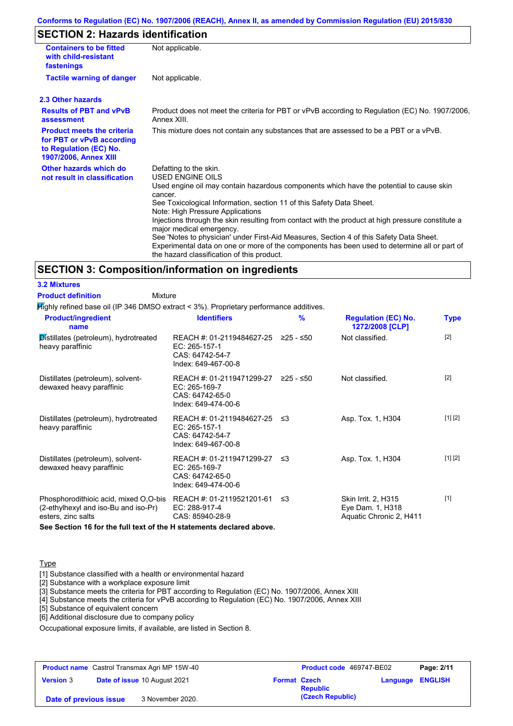### **Conforms to Regulation (EC) No. 1907/2006 (REACH), Annex II, as amended by Commission Regulation (EU) 2015/830**

# **SECTION 2: Hazards identification**

| <b>Containers to be fitted</b><br>with child-resistant<br>fastenings                                                     | Not applicable.                                                                                                                                                                                                                                                                                                                                                                                                                                                                                                                                                                                                                        |
|--------------------------------------------------------------------------------------------------------------------------|----------------------------------------------------------------------------------------------------------------------------------------------------------------------------------------------------------------------------------------------------------------------------------------------------------------------------------------------------------------------------------------------------------------------------------------------------------------------------------------------------------------------------------------------------------------------------------------------------------------------------------------|
| <b>Tactile warning of danger</b>                                                                                         | Not applicable.                                                                                                                                                                                                                                                                                                                                                                                                                                                                                                                                                                                                                        |
| 2.3 Other hazards                                                                                                        |                                                                                                                                                                                                                                                                                                                                                                                                                                                                                                                                                                                                                                        |
| <b>Results of PBT and vPvB</b><br>assessment                                                                             | Product does not meet the criteria for PBT or vPvB according to Regulation (EC) No. 1907/2006,<br>Annex XIII.                                                                                                                                                                                                                                                                                                                                                                                                                                                                                                                          |
| <b>Product meets the criteria</b><br>for PBT or vPvB according<br>to Regulation (EC) No.<br><b>1907/2006, Annex XIII</b> | This mixture does not contain any substances that are assessed to be a PBT or a vPvB.                                                                                                                                                                                                                                                                                                                                                                                                                                                                                                                                                  |
| Other hazards which do<br>not result in classification                                                                   | Defatting to the skin.<br>USED ENGINE OILS<br>Used engine oil may contain hazardous components which have the potential to cause skin<br>cancer.<br>See Toxicological Information, section 11 of this Safety Data Sheet.<br>Note: High Pressure Applications<br>Injections through the skin resulting from contact with the product at high pressure constitute a<br>major medical emergency.<br>See 'Notes to physician' under First-Aid Measures, Section 4 of this Safety Data Sheet.<br>Experimental data on one or more of the components has been used to determine all or part of<br>the hazard classification of this product. |

### **SECTION 3: Composition/information on ingredients**

**3.2 Mixtures**

| <b>Product definition</b>                                                                                                     | Mixture                                                                                   |           |                                                                    |             |
|-------------------------------------------------------------------------------------------------------------------------------|-------------------------------------------------------------------------------------------|-----------|--------------------------------------------------------------------|-------------|
| Mighly refined base oil (IP 346 DMSO extract < 3%). Proprietary performance additives.                                        |                                                                                           |           |                                                                    |             |
| <b>Product/ingredient</b><br>name                                                                                             | <b>Identifiers</b>                                                                        | %         | <b>Regulation (EC) No.</b><br>1272/2008 [CLP]                      | <b>Type</b> |
| Distillates (petroleum), hydrotreated<br>heavy paraffinic                                                                     | REACH #: 01-2119484627-25<br>EC: 265-157-1<br>CAS: 64742-54-7<br>Index: 649-467-00-8      | 225 - ≤50 | Not classified.                                                    | $[2]$       |
| Distillates (petroleum), solvent-<br>dewaxed heavy paraffinic                                                                 | REACH #: 01-2119471299-27<br>$EC: 265-169-7$<br>CAS: 64742-65-0<br>Index: 649-474-00-6    | ≥25 - ≤50 | Not classified.                                                    | $[2]$       |
| Distillates (petroleum), hydrotreated<br>heavy paraffinic                                                                     | REACH #: 01-2119484627-25 ≤3<br>$EC: 265-157-1$<br>CAS: 64742-54-7<br>Index: 649-467-00-8 |           | Asp. Tox. 1, H304                                                  | [1] [2]     |
| Distillates (petroleum), solvent-<br>dewaxed heavy paraffinic                                                                 | REACH #: 01-2119471299-27<br>$EC: 265-169-7$<br>CAS: 64742-65-0<br>Index: 649-474-00-6    | ≤3        | Asp. Tox. 1, H304                                                  | [1] [2]     |
| Phosphorodithioic acid, mixed O,O-bis REACH #: 01-2119521201-61<br>(2-ethylhexyl and iso-Bu and iso-Pr)<br>esters, zinc salts | EC: 288-917-4<br>CAS: 85940-28-9                                                          | ≲3        | Skin Irrit. 2, H315<br>Eye Dam. 1, H318<br>Aquatic Chronic 2, H411 | $[1]$       |

**See Section 16 for the full text of the H statements declared above.**

#### **Type**

[1] Substance classified with a health or environmental hazard

[2] Substance with a workplace exposure limit

[3] Substance meets the criteria for PBT according to Regulation (EC) No. 1907/2006, Annex XIII

[4] Substance meets the criteria for vPvB according to Regulation (EC) No. 1907/2006, Annex XIII

[5] Substance of equivalent concern

[6] Additional disclosure due to company policy

Occupational exposure limits, if available, are listed in Section 8.

| <b>Product name</b> Castrol Transmax Agri MP 15W-40 |  | <b>Product code</b> 469747-BE02 |                 | Page: 2/11       |  |  |
|-----------------------------------------------------|--|---------------------------------|-----------------|------------------|--|--|
| <b>Version 3</b><br>Date of issue 10 August 2021    |  | <b>Format Czech</b>             | <b>Republic</b> | Language ENGLISH |  |  |
| Date of previous issue                              |  | 3 November 2020.                |                 | (Czech Republic) |  |  |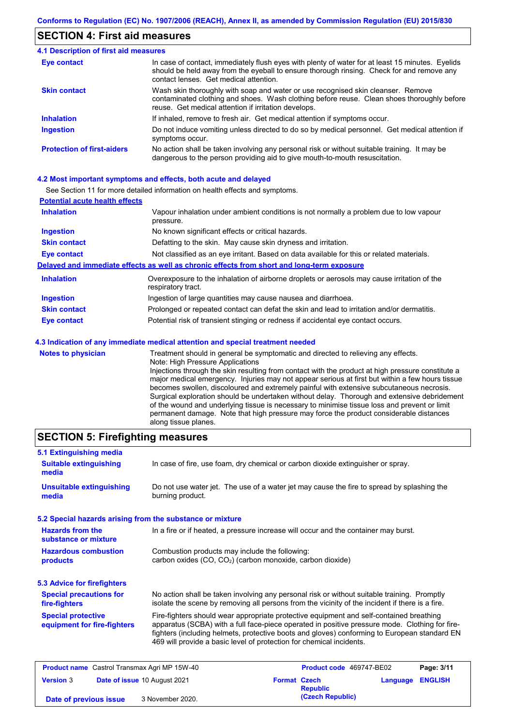### **SECTION 4: First aid measures**

#### Do not induce vomiting unless directed to do so by medical personnel. Get medical attention if symptoms occur. In case of contact, immediately flush eyes with plenty of water for at least 15 minutes. Eyelids should be held away from the eyeball to ensure thorough rinsing. Check for and remove any contact lenses. Get medical attention. **4.1 Description of first aid measures** If inhaled, remove to fresh air. Get medical attention if symptoms occur. **Ingestion Inhalation Eye contact Protection of first-aiders** No action shall be taken involving any personal risk or without suitable training. It may be dangerous to the person providing aid to give mouth-to-mouth resuscitation. **Skin contact** Wash skin thoroughly with soap and water or use recognised skin cleanser. Remove contaminated clothing and shoes. Wash clothing before reuse. Clean shoes thoroughly before reuse. Get medical attention if irritation develops.

#### **4.2 Most important symptoms and effects, both acute and delayed**

See Section 11 for more detailed information on health effects and symptoms.

| <b>Potential acute health effects</b> |                                                                                                                   |
|---------------------------------------|-------------------------------------------------------------------------------------------------------------------|
| <b>Inhalation</b>                     | Vapour inhalation under ambient conditions is not normally a problem due to low vapour<br>pressure.               |
| <b>Ingestion</b>                      | No known significant effects or critical hazards.                                                                 |
| <b>Skin contact</b>                   | Defatting to the skin. May cause skin dryness and irritation.                                                     |
| <b>Eye contact</b>                    | Not classified as an eye irritant. Based on data available for this or related materials.                         |
|                                       | Delayed and immediate effects as well as chronic effects from short and long-term exposure                        |
| <b>Inhalation</b>                     | Overexposure to the inhalation of airborne droplets or aerosols may cause irritation of the<br>respiratory tract. |
| <b>Ingestion</b>                      | Ingestion of large quantities may cause nausea and diarrhoea.                                                     |
| <b>Skin contact</b>                   | Prolonged or repeated contact can defat the skin and lead to irritation and/or dermatitis.                        |
| <b>Eye contact</b>                    | Potential risk of transient stinging or redness if accidental eye contact occurs.                                 |
|                                       | 4.3 Indication of any immediate medical attention and special treatment needed                                    |
| Notes to physician                    | Treatment should in general be symptomatic and directed to relieving any effects                                  |

**es to physician** Treatment should in general be symptomatic and directed to relieving any effects. Note: High Pressure Applications Injections through the skin resulting from contact with the product at high pressure constitute a major medical emergency. Injuries may not appear serious at first but within a few hours tissue becomes swollen, discoloured and extremely painful with extensive subcutaneous necrosis. Surgical exploration should be undertaken without delay. Thorough and extensive debridement of the wound and underlying tissue is necessary to minimise tissue loss and prevent or limit permanent damage. Note that high pressure may force the product considerable distances along tissue planes.

### **SECTION 5: Firefighting measures**

| 5.1 Extinguishing media                                                                                                                                                                                                                                                                                                            |                                                                                                                                                                                                                                                                                                                                                                   |
|------------------------------------------------------------------------------------------------------------------------------------------------------------------------------------------------------------------------------------------------------------------------------------------------------------------------------------|-------------------------------------------------------------------------------------------------------------------------------------------------------------------------------------------------------------------------------------------------------------------------------------------------------------------------------------------------------------------|
| <b>Suitable extinguishing</b><br>media                                                                                                                                                                                                                                                                                             | In case of fire, use foam, dry chemical or carbon dioxide extinguisher or spray.                                                                                                                                                                                                                                                                                  |
| <b>Unsuitable extinguishing</b><br>media                                                                                                                                                                                                                                                                                           | Do not use water jet. The use of a water jet may cause the fire to spread by splashing the<br>burning product.                                                                                                                                                                                                                                                    |
| 5.2 Special hazards arising from the substance or mixture                                                                                                                                                                                                                                                                          |                                                                                                                                                                                                                                                                                                                                                                   |
| <b>Hazards from the</b><br>substance or mixture                                                                                                                                                                                                                                                                                    | In a fire or if heated, a pressure increase will occur and the container may burst.                                                                                                                                                                                                                                                                               |
| <b>Hazardous combustion</b><br>products                                                                                                                                                                                                                                                                                            | Combustion products may include the following:<br>carbon oxides $(CO, CO2)$ (carbon monoxide, carbon dioxide)                                                                                                                                                                                                                                                     |
| 5.3 Advice for firefighters                                                                                                                                                                                                                                                                                                        |                                                                                                                                                                                                                                                                                                                                                                   |
| <b>Special precautions for</b><br>fire-fighters                                                                                                                                                                                                                                                                                    | No action shall be taken involving any personal risk or without suitable training. Promptly<br>isolate the scene by removing all persons from the vicinity of the incident if there is a fire.                                                                                                                                                                    |
| <b>Special protective</b><br>equipment for fire-fighters                                                                                                                                                                                                                                                                           | Fire-fighters should wear appropriate protective equipment and self-contained breathing<br>apparatus (SCBA) with a full face-piece operated in positive pressure mode. Clothing for fire-<br>fighters (including helmets, protective boots and gloves) conforming to European standard EN<br>469 will provide a basic level of protection for chemical incidents. |
| <b>Product name</b> Castrol Transmax Agri MP 15W-40                                                                                                                                                                                                                                                                                | Product code 469747-BE02<br>Page: 3/11                                                                                                                                                                                                                                                                                                                            |
| $\mathbf{r}$ $\mathbf{r}$ $\mathbf{r}$ $\mathbf{r}$ $\mathbf{r}$ $\mathbf{r}$ $\mathbf{r}$ $\mathbf{r}$ $\mathbf{r}$ $\mathbf{r}$ $\mathbf{r}$ $\mathbf{r}$ $\mathbf{r}$ $\mathbf{r}$ $\mathbf{r}$ $\mathbf{r}$ $\mathbf{r}$ $\mathbf{r}$ $\mathbf{r}$ $\mathbf{r}$ $\mathbf{r}$ $\mathbf{r}$ $\mathbf{r}$ $\mathbf{r}$ $\mathbf{$ | ______<br><b>PERMIT COLL</b>                                                                                                                                                                                                                                                                                                                                      |

|                        |                                     |                     |                  |          | ---------      |
|------------------------|-------------------------------------|---------------------|------------------|----------|----------------|
| <b>Version 3</b>       | <b>Date of issue 10 August 2021</b> | <b>Format Czech</b> | <b>Republic</b>  | Language | <b>ENGLISH</b> |
| Date of previous issue | 3 November 2020.                    |                     | (Czech Republic) |          |                |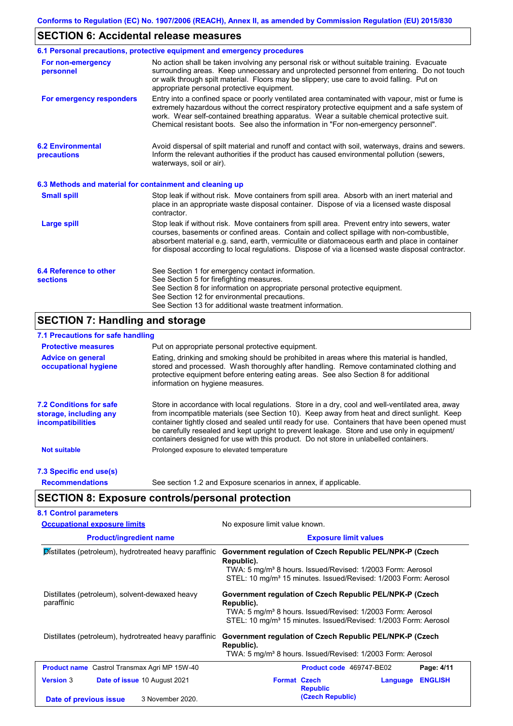# **SECTION 6: Accidental release measures**

|                                                          | 6.1 Personal precautions, protective equipment and emergency procedures                                                                                                                                                                                                                                                                                                                        |
|----------------------------------------------------------|------------------------------------------------------------------------------------------------------------------------------------------------------------------------------------------------------------------------------------------------------------------------------------------------------------------------------------------------------------------------------------------------|
| For non-emergency<br>personnel                           | No action shall be taken involving any personal risk or without suitable training. Evacuate<br>surrounding areas. Keep unnecessary and unprotected personnel from entering. Do not touch<br>or walk through spilt material. Floors may be slippery; use care to avoid falling. Put on<br>appropriate personal protective equipment.                                                            |
| For emergency responders                                 | Entry into a confined space or poorly ventilated area contaminated with vapour, mist or fume is<br>extremely hazardous without the correct respiratory protective equipment and a safe system of<br>work. Wear self-contained breathing apparatus. Wear a suitable chemical protective suit.<br>Chemical resistant boots. See also the information in "For non-emergency personnel".           |
| <b>6.2 Environmental</b><br>precautions                  | Avoid dispersal of spilt material and runoff and contact with soil, waterways, drains and sewers.<br>Inform the relevant authorities if the product has caused environmental pollution (sewers,<br>waterways, soil or air).                                                                                                                                                                    |
| 6.3 Methods and material for containment and cleaning up |                                                                                                                                                                                                                                                                                                                                                                                                |
| <b>Small spill</b>                                       | Stop leak if without risk. Move containers from spill area. Absorb with an inert material and<br>place in an appropriate waste disposal container. Dispose of via a licensed waste disposal<br>contractor.                                                                                                                                                                                     |
| <b>Large spill</b>                                       | Stop leak if without risk. Move containers from spill area. Prevent entry into sewers, water<br>courses, basements or confined areas. Contain and collect spillage with non-combustible,<br>absorbent material e.g. sand, earth, vermiculite or diatomaceous earth and place in container<br>for disposal according to local regulations. Dispose of via a licensed waste disposal contractor. |
| 6.4 Reference to other<br><b>sections</b>                | See Section 1 for emergency contact information.<br>See Section 5 for firefighting measures.<br>See Section 8 for information on appropriate personal protective equipment.<br>See Section 12 for environmental precautions.<br>See Section 13 for additional waste treatment information.                                                                                                     |

# **SECTION 7: Handling and storage**

### **7.1 Precautions for safe handling**

| <b>Protective measures</b>                                                           | Put on appropriate personal protective equipment.                                                                                                                                                                                                                                                                                                                                                                                                                                        |
|--------------------------------------------------------------------------------------|------------------------------------------------------------------------------------------------------------------------------------------------------------------------------------------------------------------------------------------------------------------------------------------------------------------------------------------------------------------------------------------------------------------------------------------------------------------------------------------|
| <b>Advice on general</b><br>occupational hygiene                                     | Eating, drinking and smoking should be prohibited in areas where this material is handled,<br>stored and processed. Wash thoroughly after handling. Remove contaminated clothing and<br>protective equipment before entering eating areas. See also Section 8 for additional<br>information on hygiene measures.                                                                                                                                                                         |
| <b>7.2 Conditions for safe</b><br>storage, including any<br><i>incompatibilities</i> | Store in accordance with local requiations. Store in a dry, cool and well-ventilated area, away<br>from incompatible materials (see Section 10). Keep away from heat and direct sunlight. Keep<br>container tightly closed and sealed until ready for use. Containers that have been opened must<br>be carefully resealed and kept upright to prevent leakage. Store and use only in equipment/<br>containers designed for use with this product. Do not store in unlabelled containers. |
| <b>Not suitable</b>                                                                  | Prolonged exposure to elevated temperature                                                                                                                                                                                                                                                                                                                                                                                                                                               |
| 7.3 Specific end use(s)                                                              |                                                                                                                                                                                                                                                                                                                                                                                                                                                                                          |
| <b>Recommendations</b>                                                               | See section 1.2 and Exposure scenarios in annex, if applicable.                                                                                                                                                                                                                                                                                                                                                                                                                          |

# **SECTION 8: Exposure controls/personal protection**

| <b>Occupational exposure limits</b>                          | No exposure limit value known.<br><b>Exposure limit values</b>                                                                                                                                                                  |  |  |
|--------------------------------------------------------------|---------------------------------------------------------------------------------------------------------------------------------------------------------------------------------------------------------------------------------|--|--|
| <b>Product/ingredient name</b>                               |                                                                                                                                                                                                                                 |  |  |
| Distillates (petroleum), hydrotreated heavy paraffinic       | Government regulation of Czech Republic PEL/NPK-P (Czech<br>Republic).<br>TWA: 5 mg/m <sup>3</sup> 8 hours. Issued/Revised: 1/2003 Form: Aerosol<br>STEL: 10 mg/m <sup>3</sup> 15 minutes. Issued/Revised: 1/2003 Form: Aerosol |  |  |
| Distillates (petroleum), solvent-dewaxed heavy<br>paraffinic | Government regulation of Czech Republic PEL/NPK-P (Czech<br>Republic).<br>TWA: 5 mg/m <sup>3</sup> 8 hours. Issued/Revised: 1/2003 Form: Aerosol<br>STEL: 10 mg/m <sup>3</sup> 15 minutes. Issued/Revised: 1/2003 Form: Aerosol |  |  |
| Distillates (petroleum), hydrotreated heavy paraffinic       | Government regulation of Czech Republic PEL/NPK-P (Czech<br>Republic).<br>TWA: 5 mg/m <sup>3</sup> 8 hours. Issued/Revised: 1/2003 Form: Aerosol                                                                                |  |  |
| <b>Product name</b> Castrol Transmax Agri MP 15W-40          | Product code 469747-BE02<br>Page: 4/11                                                                                                                                                                                          |  |  |
| <b>Version 3</b><br>Date of issue 10 August 2021             | <b>Format Czech</b><br><b>ENGLISH</b><br>Language<br><b>Republic</b>                                                                                                                                                            |  |  |
| 3 November 2020.<br>Date of previous issue                   | (Czech Republic)                                                                                                                                                                                                                |  |  |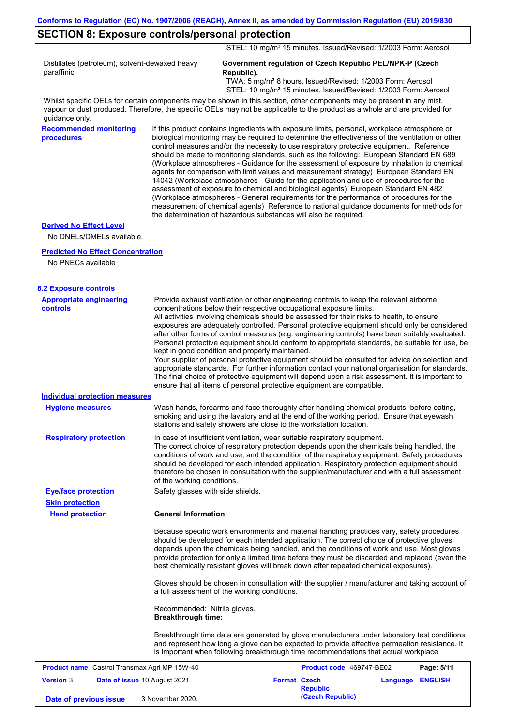### **SECTION 8: Exposure controls/personal protection**

STEL: 10 mg/m<sup>3</sup> 15 minutes. Issued/Revised: 1/2003 Form: Aerosol

Distillates (petroleum), solvent-dewaxed heavy paraffinic

#### **Government regulation of Czech Republic PEL/NPK-P (Czech Republic).**

 TWA: 5 mg/m³ 8 hours. Issued/Revised: 1/2003 Form: Aerosol STEL: 10 mg/m<sup>3</sup> 15 minutes. Issued/Revised: 1/2003 Form: Aerosol

Whilst specific OELs for certain components may be shown in this section, other components may be present in any mist, vapour or dust produced. Therefore, the specific OELs may not be applicable to the product as a whole and are provided for guidance only.

**Recommended monitoring procedures**

If this product contains ingredients with exposure limits, personal, workplace atmosphere or biological monitoring may be required to determine the effectiveness of the ventilation or other control measures and/or the necessity to use respiratory protective equipment. Reference should be made to monitoring standards, such as the following: European Standard EN 689 (Workplace atmospheres - Guidance for the assessment of exposure by inhalation to chemical agents for comparison with limit values and measurement strategy) European Standard EN 14042 (Workplace atmospheres - Guide for the application and use of procedures for the assessment of exposure to chemical and biological agents) European Standard EN 482 (Workplace atmospheres - General requirements for the performance of procedures for the measurement of chemical agents) Reference to national guidance documents for methods for the determination of hazardous substances will also be required.

#### **Derived No Effect Level**

No DNELs/DMELs available.

### **Predicted No Effect Concentration**

No PNECs available

| <b>8.2 Exposure controls</b>                                                      |                                                                                                                                                                                                                                                                                                                                                                                                                                                                                                                                                                                                                                                                                                                                                                                                                                                                                                                                                                                                         |                                                         |            |
|-----------------------------------------------------------------------------------|---------------------------------------------------------------------------------------------------------------------------------------------------------------------------------------------------------------------------------------------------------------------------------------------------------------------------------------------------------------------------------------------------------------------------------------------------------------------------------------------------------------------------------------------------------------------------------------------------------------------------------------------------------------------------------------------------------------------------------------------------------------------------------------------------------------------------------------------------------------------------------------------------------------------------------------------------------------------------------------------------------|---------------------------------------------------------|------------|
| <b>Appropriate engineering</b><br><b>controls</b>                                 | Provide exhaust ventilation or other engineering controls to keep the relevant airborne<br>concentrations below their respective occupational exposure limits.<br>All activities involving chemicals should be assessed for their risks to health, to ensure<br>exposures are adequately controlled. Personal protective equipment should only be considered<br>after other forms of control measures (e.g. engineering controls) have been suitably evaluated.<br>Personal protective equipment should conform to appropriate standards, be suitable for use, be<br>kept in good condition and properly maintained.<br>Your supplier of personal protective equipment should be consulted for advice on selection and<br>appropriate standards. For further information contact your national organisation for standards.<br>The final choice of protective equipment will depend upon a risk assessment. It is important to<br>ensure that all items of personal protective equipment are compatible. |                                                         |            |
| <b>Individual protection measures</b>                                             |                                                                                                                                                                                                                                                                                                                                                                                                                                                                                                                                                                                                                                                                                                                                                                                                                                                                                                                                                                                                         |                                                         |            |
| <b>Hygiene measures</b>                                                           | Wash hands, forearms and face thoroughly after handling chemical products, before eating,<br>smoking and using the lavatory and at the end of the working period. Ensure that eyewash<br>stations and safety showers are close to the workstation location.                                                                                                                                                                                                                                                                                                                                                                                                                                                                                                                                                                                                                                                                                                                                             |                                                         |            |
| <b>Respiratory protection</b>                                                     | In case of insufficient ventilation, wear suitable respiratory equipment.<br>The correct choice of respiratory protection depends upon the chemicals being handled, the<br>conditions of work and use, and the condition of the respiratory equipment. Safety procedures<br>should be developed for each intended application. Respiratory protection equipment should<br>therefore be chosen in consultation with the supplier/manufacturer and with a full assessment<br>of the working conditions.                                                                                                                                                                                                                                                                                                                                                                                                                                                                                                   |                                                         |            |
| <b>Eye/face protection</b>                                                        | Safety glasses with side shields.                                                                                                                                                                                                                                                                                                                                                                                                                                                                                                                                                                                                                                                                                                                                                                                                                                                                                                                                                                       |                                                         |            |
| <b>Skin protection</b>                                                            |                                                                                                                                                                                                                                                                                                                                                                                                                                                                                                                                                                                                                                                                                                                                                                                                                                                                                                                                                                                                         |                                                         |            |
| <b>Hand protection</b>                                                            | <b>General Information:</b>                                                                                                                                                                                                                                                                                                                                                                                                                                                                                                                                                                                                                                                                                                                                                                                                                                                                                                                                                                             |                                                         |            |
|                                                                                   | Because specific work environments and material handling practices vary, safety procedures<br>should be developed for each intended application. The correct choice of protective gloves<br>depends upon the chemicals being handled, and the conditions of work and use. Most gloves<br>provide protection for only a limited time before they must be discarded and replaced (even the<br>best chemically resistant gloves will break down after repeated chemical exposures).<br>Gloves should be chosen in consultation with the supplier / manufacturer and taking account of                                                                                                                                                                                                                                                                                                                                                                                                                      |                                                         |            |
|                                                                                   | a full assessment of the working conditions.                                                                                                                                                                                                                                                                                                                                                                                                                                                                                                                                                                                                                                                                                                                                                                                                                                                                                                                                                            |                                                         |            |
|                                                                                   | Recommended: Nitrile gloves.<br><b>Breakthrough time:</b>                                                                                                                                                                                                                                                                                                                                                                                                                                                                                                                                                                                                                                                                                                                                                                                                                                                                                                                                               |                                                         |            |
|                                                                                   | Breakthrough time data are generated by glove manufacturers under laboratory test conditions<br>and represent how long a glove can be expected to provide effective permeation resistance. It<br>is important when following breakthrough time recommendations that actual workplace                                                                                                                                                                                                                                                                                                                                                                                                                                                                                                                                                                                                                                                                                                                    |                                                         |            |
| <b>Product name</b> Castrol Transmax Agri MP 15W-40                               |                                                                                                                                                                                                                                                                                                                                                                                                                                                                                                                                                                                                                                                                                                                                                                                                                                                                                                                                                                                                         | Product code 469747-BE02                                | Page: 5/11 |
| <b>Version 3</b><br><b>Date of issue 10 August 2021</b><br>Date of previous issue | <b>Format Czech</b><br>3 November 2020.                                                                                                                                                                                                                                                                                                                                                                                                                                                                                                                                                                                                                                                                                                                                                                                                                                                                                                                                                                 | Language ENGLISH<br><b>Republic</b><br>(Czech Republic) |            |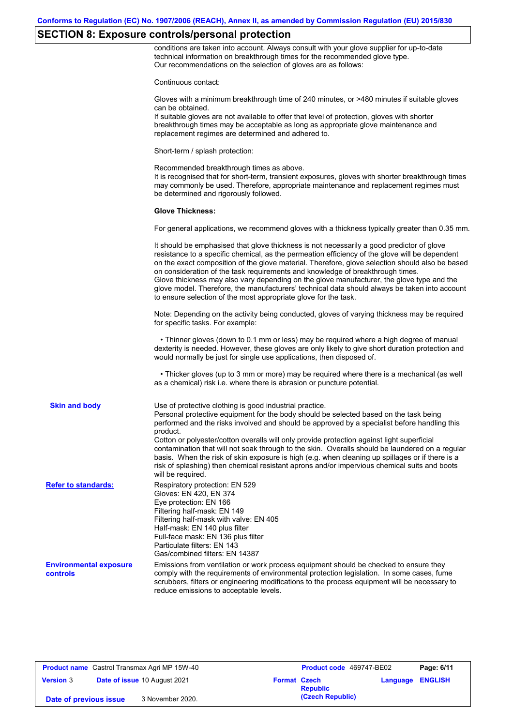# **SECTION 8: Exposure controls/personal protection**

conditions are taken into account. Always consult with your glove supplier for up-to-date technical information on breakthrough times for the recommended glove type. Our recommendations on the selection of gloves are as follows:

|                                           | Continuous contact:                                                                                                                                                                                                                                                                                                                                                                                                                                                                                                                                                                                                                                                                   |
|-------------------------------------------|---------------------------------------------------------------------------------------------------------------------------------------------------------------------------------------------------------------------------------------------------------------------------------------------------------------------------------------------------------------------------------------------------------------------------------------------------------------------------------------------------------------------------------------------------------------------------------------------------------------------------------------------------------------------------------------|
|                                           | Gloves with a minimum breakthrough time of 240 minutes, or >480 minutes if suitable gloves<br>can be obtained.<br>If suitable gloves are not available to offer that level of protection, gloves with shorter<br>breakthrough times may be acceptable as long as appropriate glove maintenance and<br>replacement regimes are determined and adhered to.                                                                                                                                                                                                                                                                                                                              |
|                                           | Short-term / splash protection:                                                                                                                                                                                                                                                                                                                                                                                                                                                                                                                                                                                                                                                       |
|                                           | Recommended breakthrough times as above.<br>It is recognised that for short-term, transient exposures, gloves with shorter breakthrough times<br>may commonly be used. Therefore, appropriate maintenance and replacement regimes must<br>be determined and rigorously followed.                                                                                                                                                                                                                                                                                                                                                                                                      |
|                                           | <b>Glove Thickness:</b>                                                                                                                                                                                                                                                                                                                                                                                                                                                                                                                                                                                                                                                               |
|                                           | For general applications, we recommend gloves with a thickness typically greater than 0.35 mm.                                                                                                                                                                                                                                                                                                                                                                                                                                                                                                                                                                                        |
|                                           | It should be emphasised that glove thickness is not necessarily a good predictor of glove<br>resistance to a specific chemical, as the permeation efficiency of the glove will be dependent<br>on the exact composition of the glove material. Therefore, glove selection should also be based<br>on consideration of the task requirements and knowledge of breakthrough times.<br>Glove thickness may also vary depending on the glove manufacturer, the glove type and the<br>glove model. Therefore, the manufacturers' technical data should always be taken into account<br>to ensure selection of the most appropriate glove for the task.                                     |
|                                           | Note: Depending on the activity being conducted, gloves of varying thickness may be required<br>for specific tasks. For example:                                                                                                                                                                                                                                                                                                                                                                                                                                                                                                                                                      |
|                                           | • Thinner gloves (down to 0.1 mm or less) may be required where a high degree of manual<br>dexterity is needed. However, these gloves are only likely to give short duration protection and<br>would normally be just for single use applications, then disposed of.                                                                                                                                                                                                                                                                                                                                                                                                                  |
|                                           | • Thicker gloves (up to 3 mm or more) may be required where there is a mechanical (as well<br>as a chemical) risk i.e. where there is abrasion or puncture potential.                                                                                                                                                                                                                                                                                                                                                                                                                                                                                                                 |
| <b>Skin and body</b>                      | Use of protective clothing is good industrial practice.<br>Personal protective equipment for the body should be selected based on the task being<br>performed and the risks involved and should be approved by a specialist before handling this<br>product.<br>Cotton or polyester/cotton overalls will only provide protection against light superficial<br>contamination that will not soak through to the skin. Overalls should be laundered on a regular<br>basis. When the risk of skin exposure is high (e.g. when cleaning up spillages or if there is a<br>risk of splashing) then chemical resistant aprons and/or impervious chemical suits and boots<br>will be required. |
| <b>Refer to standards:</b>                | Respiratory protection: EN 529<br>Gloves: EN 420, EN 374<br>Eye protection: EN 166<br>Filtering half-mask: EN 149<br>Filtering half-mask with valve: EN 405<br>Half-mask: EN 140 plus filter<br>Full-face mask: EN 136 plus filter<br>Particulate filters: EN 143<br>Gas/combined filters: EN 14387                                                                                                                                                                                                                                                                                                                                                                                   |
| <b>Environmental exposure</b><br>controls | Emissions from ventilation or work process equipment should be checked to ensure they<br>comply with the requirements of environmental protection legislation. In some cases, fume<br>scrubbers, filters or engineering modifications to the process equipment will be necessary to<br>reduce emissions to acceptable levels.                                                                                                                                                                                                                                                                                                                                                         |

**Product name** Castrol Transmax Agri MP 15W-40 **Product Code** 469747-BE02 **Page: 6/11 Version** 3 **Date of issue** 10 August 2021 **Format Czech Republic Language ENGLISH (Czech Republic) Date of previous issue** 3 November 2020.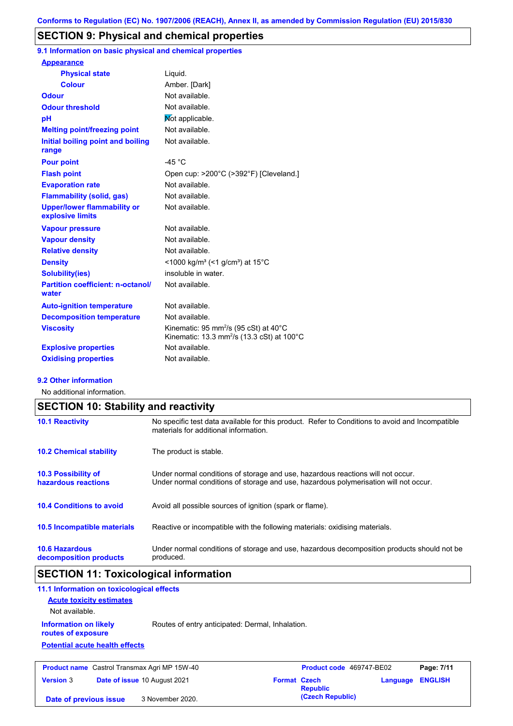### **SECTION 9: Physical and chemical properties**

**9.1 Information on basic physical and chemical properties**

| <b>Appearance</b>                                      |                                                                                                                                   |
|--------------------------------------------------------|-----------------------------------------------------------------------------------------------------------------------------------|
| <b>Physical state</b>                                  | Liquid.                                                                                                                           |
| <b>Colour</b>                                          | Amber. [Dark]                                                                                                                     |
| <b>Odour</b>                                           | Not available.                                                                                                                    |
| <b>Odour threshold</b>                                 | Not available.                                                                                                                    |
| рH                                                     | Mot applicable.                                                                                                                   |
| <b>Melting point/freezing point</b>                    | Not available.                                                                                                                    |
| Initial boiling point and boiling<br>range             | Not available.                                                                                                                    |
| <b>Pour point</b>                                      | $-45 °C$                                                                                                                          |
| <b>Flash point</b>                                     | Open cup: >200°C (>392°F) [Cleveland.]                                                                                            |
| <b>Evaporation rate</b>                                | Not available.                                                                                                                    |
| <b>Flammability (solid, gas)</b>                       | Not available.                                                                                                                    |
| <b>Upper/lower flammability or</b><br>explosive limits | Not available.                                                                                                                    |
| <b>Vapour pressure</b>                                 | Not available.                                                                                                                    |
| <b>Vapour density</b>                                  | Not available.                                                                                                                    |
| <b>Relative density</b>                                | Not available.                                                                                                                    |
| <b>Density</b>                                         | <1000 kg/m <sup>3</sup> (<1 g/cm <sup>3</sup> ) at 15 <sup>°</sup> C                                                              |
| <b>Solubility(ies)</b>                                 | insoluble in water.                                                                                                               |
| <b>Partition coefficient: n-octanol/</b><br>water      | Not available.                                                                                                                    |
| <b>Auto-ignition temperature</b>                       | Not available.                                                                                                                    |
| <b>Decomposition temperature</b>                       | Not available.                                                                                                                    |
| <b>Viscosity</b>                                       | Kinematic: 95 mm <sup>2</sup> /s (95 cSt) at 40 $^{\circ}$ C<br>Kinematic: 13.3 mm <sup>2</sup> /s (13.3 cSt) at 100 $^{\circ}$ C |
| <b>Explosive properties</b>                            | Not available.                                                                                                                    |
| <b>Oxidising properties</b>                            | Not available.                                                                                                                    |
|                                                        |                                                                                                                                   |

#### **9.2 Other information**

No additional information.

| <b>SECTION 10: Stability and reactivity</b>       |                                                                                                                                                                         |  |  |
|---------------------------------------------------|-------------------------------------------------------------------------------------------------------------------------------------------------------------------------|--|--|
| <b>10.1 Reactivity</b>                            | No specific test data available for this product. Refer to Conditions to avoid and Incompatible<br>materials for additional information.                                |  |  |
| <b>10.2 Chemical stability</b>                    | The product is stable.                                                                                                                                                  |  |  |
| <b>10.3 Possibility of</b><br>hazardous reactions | Under normal conditions of storage and use, hazardous reactions will not occur.<br>Under normal conditions of storage and use, hazardous polymerisation will not occur. |  |  |
| <b>10.4 Conditions to avoid</b>                   | Avoid all possible sources of ignition (spark or flame).                                                                                                                |  |  |
| <b>10.5 Incompatible materials</b>                | Reactive or incompatible with the following materials: oxidising materials.                                                                                             |  |  |
| <b>10.6 Hazardous</b><br>decomposition products   | Under normal conditions of storage and use, hazardous decomposition products should not be<br>produced.                                                                 |  |  |

# **SECTION 11: Toxicological information**

| 11.1 Information on toxicological effects           |                                                  |                     |                          |          |                |
|-----------------------------------------------------|--------------------------------------------------|---------------------|--------------------------|----------|----------------|
| <b>Acute toxicity estimates</b>                     |                                                  |                     |                          |          |                |
| Not available.                                      |                                                  |                     |                          |          |                |
| <b>Information on likely</b><br>routes of exposure  | Routes of entry anticipated: Dermal, Inhalation. |                     |                          |          |                |
| <b>Potential acute health effects</b>               |                                                  |                     |                          |          |                |
| <b>Product name</b> Castrol Transmax Agri MP 15W-40 |                                                  |                     | Product code 469747-BE02 |          | Page: 7/11     |
| <b>Version 3</b>                                    | Date of issue 10 August 2021                     | <b>Format Czech</b> | <b>Republic</b>          | Language | <b>ENGLISH</b> |
| Date of previous issue                              | 3 November 2020.                                 |                     | (Czech Republic)         |          |                |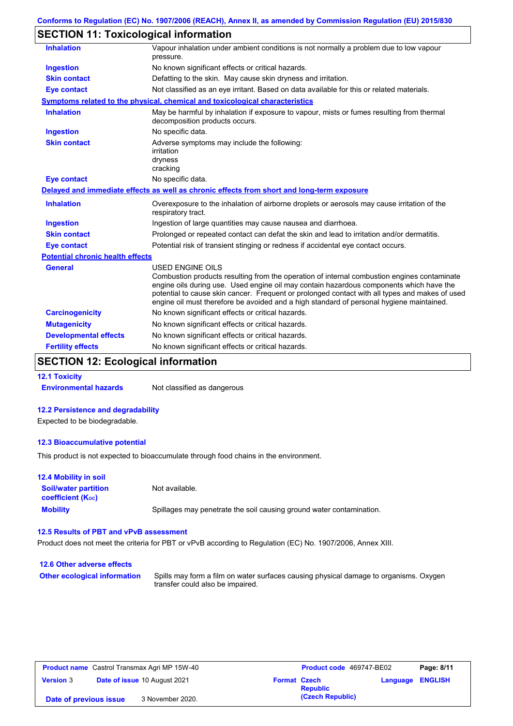# **SECTION 11: Toxicological information**

| <b>Inhalation</b>                       | Vapour inhalation under ambient conditions is not normally a problem due to low vapour<br>pressure.                                                                                                                                                                                                                                                                                                             |
|-----------------------------------------|-----------------------------------------------------------------------------------------------------------------------------------------------------------------------------------------------------------------------------------------------------------------------------------------------------------------------------------------------------------------------------------------------------------------|
| <b>Ingestion</b>                        | No known significant effects or critical hazards.                                                                                                                                                                                                                                                                                                                                                               |
| <b>Skin contact</b>                     | Defatting to the skin. May cause skin dryness and irritation.                                                                                                                                                                                                                                                                                                                                                   |
| <b>Eye contact</b>                      | Not classified as an eye irritant. Based on data available for this or related materials.                                                                                                                                                                                                                                                                                                                       |
|                                         | Symptoms related to the physical, chemical and toxicological characteristics                                                                                                                                                                                                                                                                                                                                    |
| <b>Inhalation</b>                       | May be harmful by inhalation if exposure to vapour, mists or fumes resulting from thermal<br>decomposition products occurs.                                                                                                                                                                                                                                                                                     |
| <b>Ingestion</b>                        | No specific data.                                                                                                                                                                                                                                                                                                                                                                                               |
| <b>Skin contact</b>                     | Adverse symptoms may include the following:<br>irritation<br>dryness<br>cracking                                                                                                                                                                                                                                                                                                                                |
| <b>Eye contact</b>                      | No specific data.                                                                                                                                                                                                                                                                                                                                                                                               |
|                                         | Delayed and immediate effects as well as chronic effects from short and long-term exposure                                                                                                                                                                                                                                                                                                                      |
| <b>Inhalation</b>                       | Overexposure to the inhalation of airborne droplets or aerosols may cause irritation of the<br>respiratory tract.                                                                                                                                                                                                                                                                                               |
| <b>Ingestion</b>                        | Ingestion of large quantities may cause nausea and diarrhoea.                                                                                                                                                                                                                                                                                                                                                   |
| <b>Skin contact</b>                     | Prolonged or repeated contact can defat the skin and lead to irritation and/or dermatitis.                                                                                                                                                                                                                                                                                                                      |
| <b>Eye contact</b>                      | Potential risk of transient stinging or redness if accidental eye contact occurs.                                                                                                                                                                                                                                                                                                                               |
| <b>Potential chronic health effects</b> |                                                                                                                                                                                                                                                                                                                                                                                                                 |
| <b>General</b>                          | <b>USED ENGINE OILS</b><br>Combustion products resulting from the operation of internal combustion engines contaminate<br>engine oils during use. Used engine oil may contain hazardous components which have the<br>potential to cause skin cancer. Frequent or prolonged contact with all types and makes of used<br>engine oil must therefore be avoided and a high standard of personal hygiene maintained. |
| <b>Carcinogenicity</b>                  | No known significant effects or critical hazards.                                                                                                                                                                                                                                                                                                                                                               |
| <b>Mutagenicity</b>                     | No known significant effects or critical hazards.                                                                                                                                                                                                                                                                                                                                                               |
| <b>Developmental effects</b>            | No known significant effects or critical hazards.                                                                                                                                                                                                                                                                                                                                                               |
| <b>Fertility effects</b>                | No known significant effects or critical hazards.                                                                                                                                                                                                                                                                                                                                                               |
|                                         |                                                                                                                                                                                                                                                                                                                                                                                                                 |

# **SECTION 12: Ecological information**

**12.1 Toxicity**

**Environmental hazards** Not classified as dangerous

#### **12.2 Persistence and degradability**

Expected to be biodegradable.

#### **12.3 Bioaccumulative potential**

This product is not expected to bioaccumulate through food chains in the environment.

| <b>12.4 Mobility in soil</b>                                  |                                                                      |
|---------------------------------------------------------------|----------------------------------------------------------------------|
| <b>Soil/water partition</b><br>coefficient (K <sub>oc</sub> ) | Not available.                                                       |
| <b>Mobility</b>                                               | Spillages may penetrate the soil causing ground water contamination. |

### **12.5 Results of PBT and vPvB assessment**

Product does not meet the criteria for PBT or vPvB according to Regulation (EC) No. 1907/2006, Annex XIII.

| 12.6 Other adverse effects          |                                                                                                                           |
|-------------------------------------|---------------------------------------------------------------------------------------------------------------------------|
| <b>Other ecological information</b> | Spills may form a film on water surfaces causing physical damage to organisms. Oxygen<br>transfer could also be impaired. |

| <b>Product name</b> Castrol Transmax Agri MP 15W-40 |  |                                     | Product code 469747-BE02 |                  | Page: 8/11              |  |
|-----------------------------------------------------|--|-------------------------------------|--------------------------|------------------|-------------------------|--|
| <b>Version 3</b>                                    |  | <b>Date of issue 10 August 2021</b> | <b>Format Czech</b>      | <b>Republic</b>  | <b>Language ENGLISH</b> |  |
| Date of previous issue                              |  | 3 November 2020.                    |                          | (Czech Republic) |                         |  |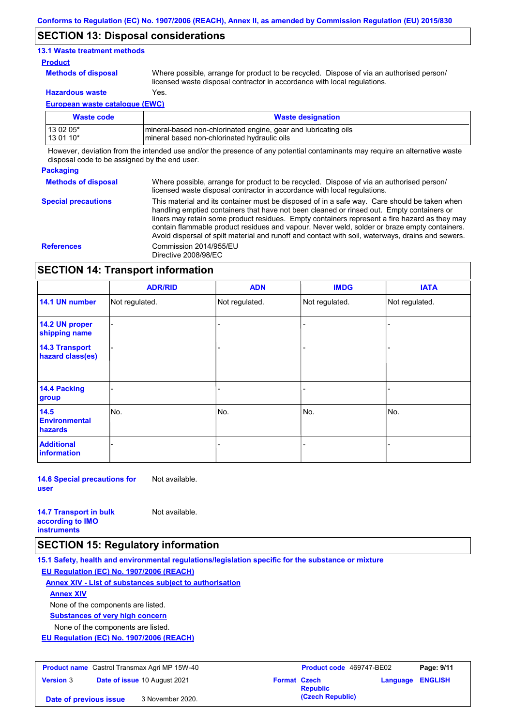### **SECTION 13: Disposal considerations**

#### **13.1 Waste treatment methods**

#### **Product**

**Methods of disposal**

Where possible, arrange for product to be recycled. Dispose of via an authorised person/

**Hazardous waste** Yes.

licensed waste disposal contractor in accordance with local regulations.

**European waste catalogue (EWC)**

| Waste code  | <b>Waste designation</b>                                         |
|-------------|------------------------------------------------------------------|
| l 13 02 05* | Imineral-based non-chlorinated engine, gear and lubricating oils |
| 13 01 10*   | mineral based non-chlorinated hydraulic oils                     |

However, deviation from the intended use and/or the presence of any potential contaminants may require an alternative waste disposal code to be assigned by the end user.

#### **Packaging**

**Methods of disposal** Where possible, arrange for product to be recycled. Dispose of via an authorised person/ licensed waste disposal contractor in accordance with local regulations.

**Special precautions** This material and its container must be disposed of in a safe way. Care should be taken when handling emptied containers that have not been cleaned or rinsed out. Empty containers or liners may retain some product residues. Empty containers represent a fire hazard as they may contain flammable product residues and vapour. Never weld, solder or braze empty containers. Avoid dispersal of spilt material and runoff and contact with soil, waterways, drains and sewers. **References** Commission 2014/955/EU Directive 2008/98/EC

### **SECTION 14: Transport information**

|                                           | <b>ADR/RID</b> | <b>ADN</b>     | <b>IMDG</b>    | <b>IATA</b>    |
|-------------------------------------------|----------------|----------------|----------------|----------------|
| 14.1 UN number                            | Not regulated. | Not regulated. | Not regulated. | Not regulated. |
| 14.2 UN proper<br>shipping name           |                |                | -              |                |
| <b>14.3 Transport</b><br>hazard class(es) |                |                | Ξ.             |                |
| 14.4 Packing<br>group                     |                |                |                |                |
| 14.5<br><b>Environmental</b><br>hazards   | No.            | No.            | No.            | No.            |
| <b>Additional</b><br><b>information</b>   |                |                |                |                |

**14.6 Special precautions for user** Not available.

| <b>14.7 Transport in bulk</b> | Not available. |
|-------------------------------|----------------|
| according to <b>IMO</b>       |                |
| <b>instruments</b>            |                |

### **SECTION 15: Regulatory information**

**15.1 Safety, health and environmental regulations/legislation specific for the substance or mixture EU Regulation (EC) No. 1907/2006 (REACH)**

**Annex XIV - List of substances subject to authorisation**

**Annex XIV**

None of the components are listed.

**Substances of very high concern**

None of the components are listed.

**EU Regulation (EC) No. 1907/2006 (REACH)**

| <b>Product name</b> Castrol Transmax Agri MP 15W-40 |  | Product code 469747-BE02            |                     | Page: 9/11       |                         |  |
|-----------------------------------------------------|--|-------------------------------------|---------------------|------------------|-------------------------|--|
| <b>Version 3</b>                                    |  | <b>Date of issue 10 August 2021</b> | <b>Format Czech</b> | <b>Republic</b>  | <b>Language ENGLISH</b> |  |
| Date of previous issue                              |  | 3 November 2020.                    |                     | (Czech Republic) |                         |  |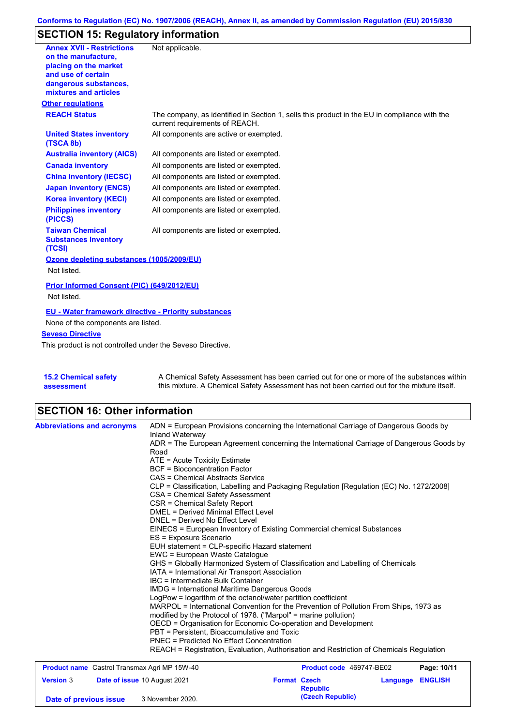# **SECTION 15: Regulatory information**

| <b>Annex XVII - Restrictions</b>                                | Not applicable.                                                                                                                |
|-----------------------------------------------------------------|--------------------------------------------------------------------------------------------------------------------------------|
| on the manufacture.                                             |                                                                                                                                |
| placing on the market                                           |                                                                                                                                |
| and use of certain                                              |                                                                                                                                |
| dangerous substances,<br>mixtures and articles                  |                                                                                                                                |
| <b>Other regulations</b>                                        |                                                                                                                                |
| <b>REACH Status</b>                                             |                                                                                                                                |
|                                                                 | The company, as identified in Section 1, sells this product in the EU in compliance with the<br>current requirements of REACH. |
| <b>United States inventory</b><br>(TSCA 8b)                     | All components are active or exempted.                                                                                         |
| <b>Australia inventory (AICS)</b>                               | All components are listed or exempted.                                                                                         |
| <b>Canada inventory</b>                                         | All components are listed or exempted.                                                                                         |
| <b>China inventory (IECSC)</b>                                  | All components are listed or exempted.                                                                                         |
| <b>Japan inventory (ENCS)</b>                                   | All components are listed or exempted.                                                                                         |
| <b>Korea inventory (KECI)</b>                                   | All components are listed or exempted.                                                                                         |
| <b>Philippines inventory</b><br>(PICCS)                         | All components are listed or exempted.                                                                                         |
| <b>Taiwan Chemical</b><br><b>Substances Inventory</b><br>(TCSI) | All components are listed or exempted.                                                                                         |
| Ozone depleting substances (1005/2009/EU)                       |                                                                                                                                |
| Not listed.                                                     |                                                                                                                                |
| Prior Informed Consent (PIC) (649/2012/EU)                      |                                                                                                                                |
| Not listed.                                                     |                                                                                                                                |
| <b>EU - Water framework directive - Priority substances</b>     |                                                                                                                                |
| None of the components are listed.                              |                                                                                                                                |
| <b>Seveso Directive</b>                                         |                                                                                                                                |
| This product is not controlled under the Seveso Directive.      |                                                                                                                                |
|                                                                 |                                                                                                                                |
|                                                                 |                                                                                                                                |
|                                                                 |                                                                                                                                |

| <b>15.2 Chemical safety</b> | A Chemical Safety Assessment has been carried out for one or more of the substances within  |
|-----------------------------|---------------------------------------------------------------------------------------------|
| assessment                  | this mixture. A Chemical Safety Assessment has not been carried out for the mixture itself. |

# **SECTION 16: Other information**

| <b>Abbreviations and acronyms</b>            | ADN = European Provisions concerning the International Carriage of Dangerous Goods by<br>Inland Waterway                                                                                                                                                                                                                                                                                                                                                                                                                                                                                                                                                                                                         |                                     |                            |  |  |  |  |                          |             |
|----------------------------------------------|------------------------------------------------------------------------------------------------------------------------------------------------------------------------------------------------------------------------------------------------------------------------------------------------------------------------------------------------------------------------------------------------------------------------------------------------------------------------------------------------------------------------------------------------------------------------------------------------------------------------------------------------------------------------------------------------------------------|-------------------------------------|----------------------------|--|--|--|--|--------------------------|-------------|
|                                              | ADR = The European Agreement concerning the International Carriage of Dangerous Goods by<br>Road                                                                                                                                                                                                                                                                                                                                                                                                                                                                                                                                                                                                                 |                                     |                            |  |  |  |  |                          |             |
|                                              | ATE = Acute Toxicity Estimate                                                                                                                                                                                                                                                                                                                                                                                                                                                                                                                                                                                                                                                                                    |                                     |                            |  |  |  |  |                          |             |
|                                              | <b>BCF</b> = Bioconcentration Factor                                                                                                                                                                                                                                                                                                                                                                                                                                                                                                                                                                                                                                                                             |                                     |                            |  |  |  |  |                          |             |
|                                              | CAS = Chemical Abstracts Service<br>CLP = Classification, Labelling and Packaging Regulation [Regulation (EC) No. 1272/2008]                                                                                                                                                                                                                                                                                                                                                                                                                                                                                                                                                                                     |                                     |                            |  |  |  |  |                          |             |
|                                              |                                                                                                                                                                                                                                                                                                                                                                                                                                                                                                                                                                                                                                                                                                                  |                                     |                            |  |  |  |  |                          |             |
|                                              | CSA = Chemical Safety Assessment                                                                                                                                                                                                                                                                                                                                                                                                                                                                                                                                                                                                                                                                                 |                                     |                            |  |  |  |  |                          |             |
|                                              | CSR = Chemical Safety Report                                                                                                                                                                                                                                                                                                                                                                                                                                                                                                                                                                                                                                                                                     |                                     |                            |  |  |  |  |                          |             |
|                                              | <b>DMEL = Derived Minimal Effect Level</b>                                                                                                                                                                                                                                                                                                                                                                                                                                                                                                                                                                                                                                                                       |                                     |                            |  |  |  |  |                          |             |
|                                              | DNEL = Derived No Effect Level<br>EINECS = European Inventory of Existing Commercial chemical Substances<br>ES = Exposure Scenario<br>EUH statement = CLP-specific Hazard statement<br>EWC = European Waste Catalogue                                                                                                                                                                                                                                                                                                                                                                                                                                                                                            |                                     |                            |  |  |  |  |                          |             |
|                                              |                                                                                                                                                                                                                                                                                                                                                                                                                                                                                                                                                                                                                                                                                                                  |                                     |                            |  |  |  |  |                          |             |
|                                              |                                                                                                                                                                                                                                                                                                                                                                                                                                                                                                                                                                                                                                                                                                                  |                                     |                            |  |  |  |  |                          |             |
|                                              |                                                                                                                                                                                                                                                                                                                                                                                                                                                                                                                                                                                                                                                                                                                  |                                     |                            |  |  |  |  |                          |             |
|                                              | GHS = Globally Harmonized System of Classification and Labelling of Chemicals<br>IATA = International Air Transport Association<br>IBC = Intermediate Bulk Container<br><b>IMDG = International Maritime Dangerous Goods</b><br>LogPow = logarithm of the octanol/water partition coefficient<br>MARPOL = International Convention for the Prevention of Pollution From Ships, 1973 as<br>modified by the Protocol of 1978. ("Marpol" = marine pollution)<br>OECD = Organisation for Economic Co-operation and Development<br>PBT = Persistent. Bioaccumulative and Toxic<br>PNEC = Predicted No Effect Concentration<br>REACH = Registration, Evaluation, Authorisation and Restriction of Chemicals Regulation |                                     |                            |  |  |  |  |                          |             |
|                                              |                                                                                                                                                                                                                                                                                                                                                                                                                                                                                                                                                                                                                                                                                                                  |                                     |                            |  |  |  |  |                          |             |
|                                              |                                                                                                                                                                                                                                                                                                                                                                                                                                                                                                                                                                                                                                                                                                                  |                                     |                            |  |  |  |  |                          |             |
|                                              |                                                                                                                                                                                                                                                                                                                                                                                                                                                                                                                                                                                                                                                                                                                  |                                     |                            |  |  |  |  |                          |             |
|                                              |                                                                                                                                                                                                                                                                                                                                                                                                                                                                                                                                                                                                                                                                                                                  |                                     |                            |  |  |  |  |                          |             |
|                                              |                                                                                                                                                                                                                                                                                                                                                                                                                                                                                                                                                                                                                                                                                                                  |                                     |                            |  |  |  |  |                          |             |
|                                              |                                                                                                                                                                                                                                                                                                                                                                                                                                                                                                                                                                                                                                                                                                                  |                                     |                            |  |  |  |  |                          |             |
|                                              |                                                                                                                                                                                                                                                                                                                                                                                                                                                                                                                                                                                                                                                                                                                  |                                     |                            |  |  |  |  |                          |             |
|                                              |                                                                                                                                                                                                                                                                                                                                                                                                                                                                                                                                                                                                                                                                                                                  |                                     |                            |  |  |  |  |                          |             |
| Product name Castrol Transmax Agri MP 15W-40 |                                                                                                                                                                                                                                                                                                                                                                                                                                                                                                                                                                                                                                                                                                                  |                                     |                            |  |  |  |  | Product code 469747-BE02 | Page: 10/11 |
| <b>Version 3</b>                             | Date of issue 10 August 2021                                                                                                                                                                                                                                                                                                                                                                                                                                                                                                                                                                                                                                                                                     | <b>Format Czech</b>                 | <b>ENGLISH</b><br>Language |  |  |  |  |                          |             |
| Date of previous issue                       | 3 November 2020.                                                                                                                                                                                                                                                                                                                                                                                                                                                                                                                                                                                                                                                                                                 | <b>Republic</b><br>(Czech Republic) |                            |  |  |  |  |                          |             |